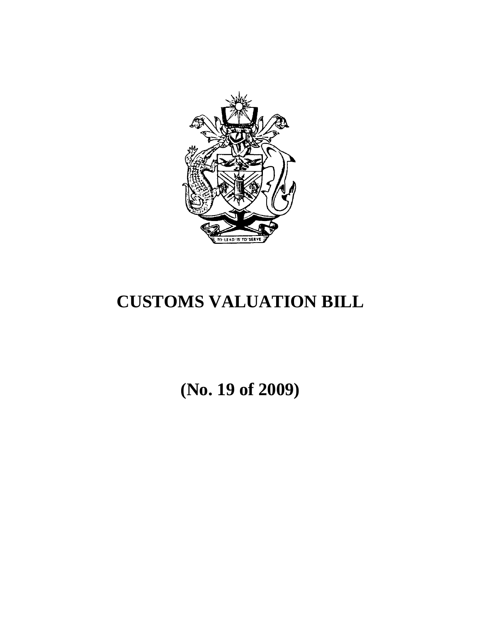

# **CUSTOMS VALUATION BILL**

**(No. 19 of 2009)**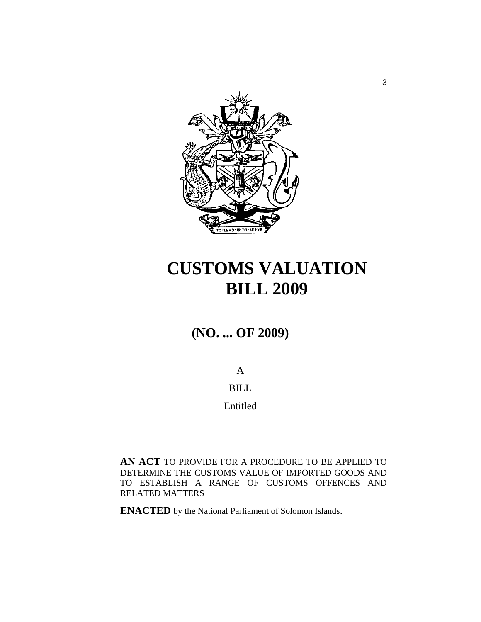

# **CUSTOMS VALUATION BILL 2009**

# **(NO. ... OF 2009)**

A BILL Entitled

**AN ACT** TO PROVIDE FOR A PROCEDURE TO BE APPLIED TO DETERMINE THE CUSTOMS VALUE OF IMPORTED GOODS AND TO ESTABLISH A RANGE OF CUSTOMS OFFENCES AND RELATED MATTERS

**ENACTED** by the National Parliament of Solomon Islands.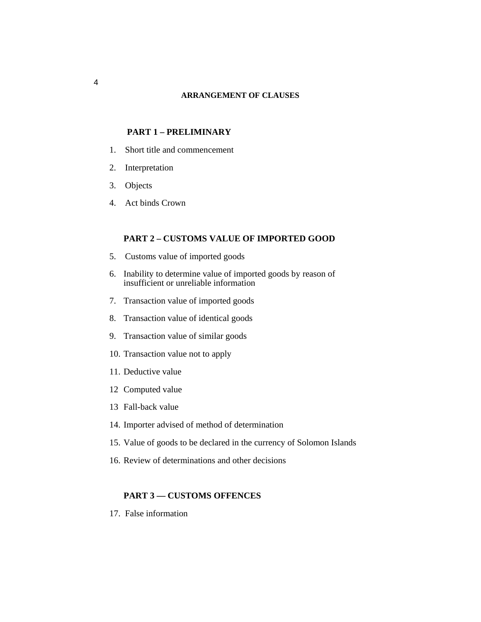#### **ARRANGEMENT OF CLAUSES**

#### **PART 1 – PRELIMINARY**

- 1. Short title and commencement
- 2. Interpretation
- 3. Objects
- 4. Act binds Crown

### **PART 2 – CUSTOMS VALUE OF IMPORTED GOOD**

- 5. Customs value of imported goods
- 6. Inability to determine value of imported goods by reason of insufficient or unreliable information
- 7. Transaction value of imported goods
- 8. Transaction value of identical goods
- 9. Transaction value of similar goods
- 10. Transaction value not to apply
- 11. Deductive value
- 12 Computed value
- 13 Fall-back value
- 14. Importer advised of method of determination
- 15. Value of goods to be declared in the currency of Solomon Islands
- 16. Review of determinations and other decisions

#### **PART 3 — CUSTOMS OFFENCES**

17. False information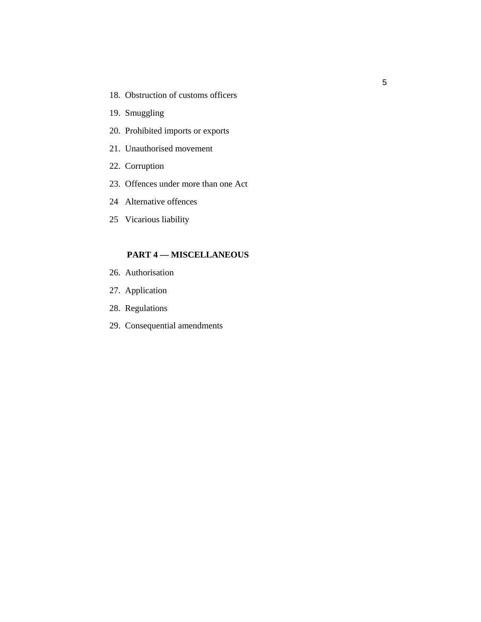- 18. Obstruction of customs officers
- 19. Smuggling
- 20. Prohibited imports or exports
- 21. Unauthorised movement
- 22. Corruption
- 23. Offences under more than one Act
- 24 Alternative offences
- 25 Vicarious liability

## **PART 4 — MISCELLANEOUS**

- 26. Authorisation
- 27. Application
- 28. Regulations
- 29. Consequential amendments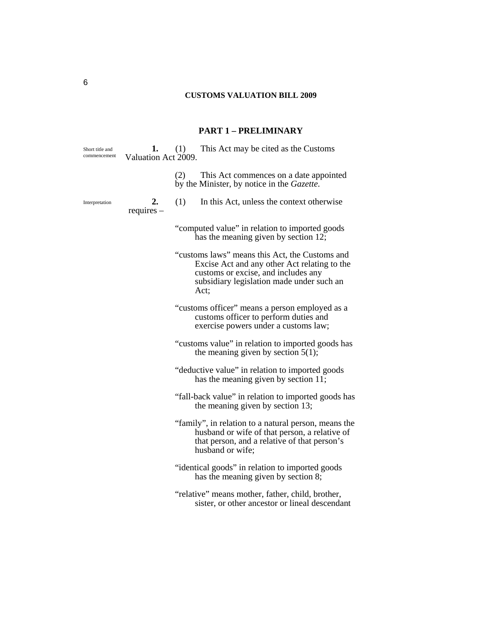# **CUSTOMS VALUATION BILL 2009**

# **PART 1 – PRELIMINARY**

| Short title and<br>commencement | 1.<br>Valuation Act 2009. | (1) This Act may be cited as the Customs                                                                                                                                                   |
|---------------------------------|---------------------------|--------------------------------------------------------------------------------------------------------------------------------------------------------------------------------------------|
|                                 |                           | (2)<br>This Act commences on a date appointed<br>by the Minister, by notice in the Gazette.                                                                                                |
| Interpretation                  | 2.<br>$requires -$        | (1)<br>In this Act, unless the context otherwise                                                                                                                                           |
|                                 |                           | "computed value" in relation to imported goods<br>has the meaning given by section 12;                                                                                                     |
|                                 |                           | "customs laws" means this Act, the Customs and<br>Excise Act and any other Act relating to the<br>customs or excise, and includes any<br>subsidiary legislation made under such an<br>Act; |
|                                 |                           | "customs officer" means a person employed as a<br>customs officer to perform duties and<br>exercise powers under a customs law;                                                            |
|                                 |                           | "customs value" in relation to imported goods has<br>the meaning given by section $5(1)$ ;                                                                                                 |
|                                 |                           | "deductive value" in relation to imported goods<br>has the meaning given by section 11;                                                                                                    |
|                                 |                           | "fall-back value" in relation to imported goods has<br>the meaning given by section 13;                                                                                                    |
|                                 |                           | "family", in relation to a natural person, means the<br>husband or wife of that person, a relative of<br>that person, and a relative of that person's<br>husband or wife;                  |
|                                 |                           | "identical goods" in relation to imported goods<br>has the meaning given by section 8;                                                                                                     |
|                                 |                           | "relative" means mother, father, child, brother,<br>sister, or other ancestor or lineal descendant                                                                                         |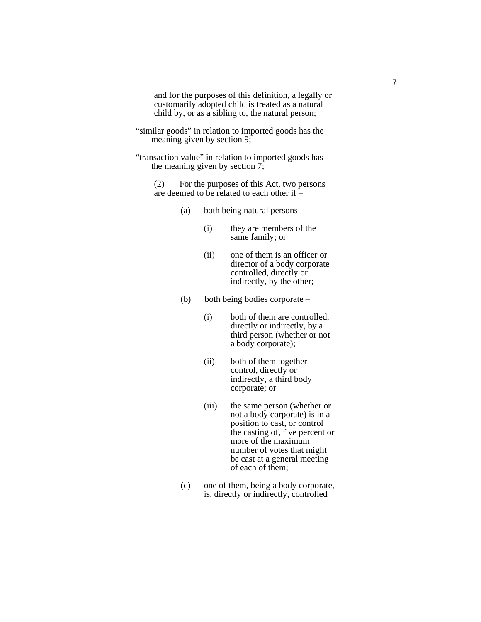and for the purposes of this definition, a legally or customarily adopted child is treated as a natural child by, or as a sibling to, the natural person;

"similar goods" in relation to imported goods has the meaning given by section 9;

"transaction value" in relation to imported goods has the meaning given by section 7;

(2) For the purposes of this Act, two persons are deemed to be related to each other if –

- (a) both being natural persons
	- (i) they are members of the same family; or
	- (ii) one of them is an officer or director of a body corporate controlled, directly or indirectly, by the other;
- (b) both being bodies corporate
	- (i) both of them are controlled, directly or indirectly, by a third person (whether or not a body corporate);
	- (ii) both of them together control, directly or indirectly, a third body corporate; or
	- (iii) the same person (whether or not a body corporate) is in a position to cast, or control the casting of, five percent or more of the maximum number of votes that might be cast at a general meeting of each of them;
- (c) one of them, being a body corporate, is, directly or indirectly, controlled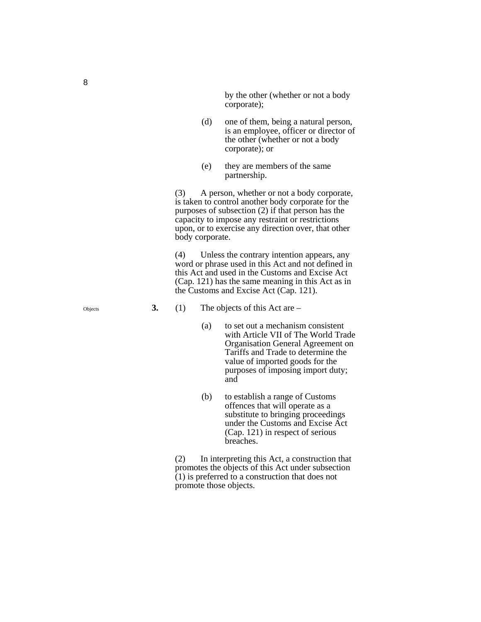by the other (whether or not a body corporate);

- (d) one of them, being a natural person, is an employee, officer or director of the other (whether or not a body corporate); or
- (e) they are members of the same partnership.

(3) A person, whether or not a body corporate, is taken to control another body corporate for the purposes of subsection (2) if that person has the capacity to impose any restraint or restrictions upon, or to exercise any direction over, that other body corporate.

(4) Unless the contrary intention appears, any word or phrase used in this Act and not defined in this Act and used in the Customs and Excise Act (Cap. 121) has the same meaning in this Act as in the Customs and Excise Act (Cap. 121).

**3.** (1) The objects of this Act are –

- (a) to set out a mechanism consistent with Article VII of The World Trade Organisation General Agreement on Tariffs and Trade to determine the value of imported goods for the purposes of imposing import duty; and
- (b) to establish a range of Customs offences that will operate as a substitute to bringing proceedings under the Customs and Excise Act (Cap. 121) in respect of serious breaches.

(2) In interpreting this Act, a construction that promotes the objects of this Act under subsection  $(1)$  is preferred to a construction that does not promote those objects.

Objects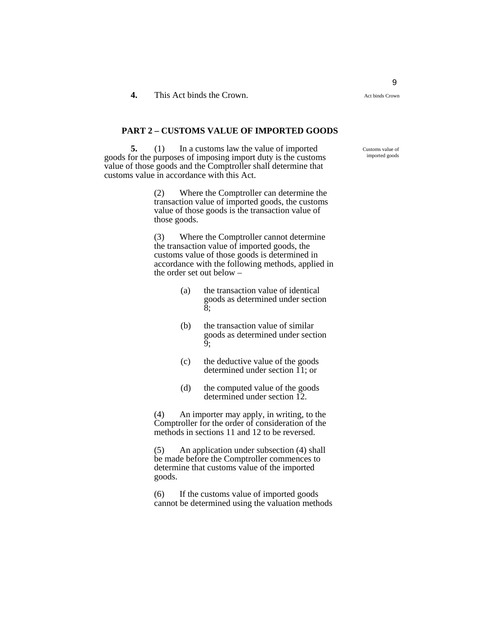#### **PART 2 – CUSTOMS VALUE OF IMPORTED GOODS**

**5.** (1) In a customs law the value of imported goods for the purposes of imposing import duty is the customs value of those goods and the Comptroller shall determine that customs value in accordance with this Act.

> (2) Where the Comptroller can determine the transaction value of imported goods, the customs value of those goods is the transaction value of those goods.

(3) Where the Comptroller cannot determine the transaction value of imported goods, the customs value of those goods is determined in accordance with the following methods, applied in the order set out below –

- (a) the transaction value of identical goods as determined under section 8;
- (b) the transaction value of similar goods as determined under section 9;
- (c) the deductive value of the goods determined under section 11; or
- (d) the computed value of the goods determined under section 12.

(4) An importer may apply, in writing, to the Comptroller for the order of consideration of the methods in sections 11 and 12 to be reversed.

(5) An application under subsection (4) shall be made before the Comptroller commences to determine that customs value of the imported goods.

(6) If the customs value of imported goods cannot be determined using the valuation methods Customs value of imported goods

Act binds Crown

9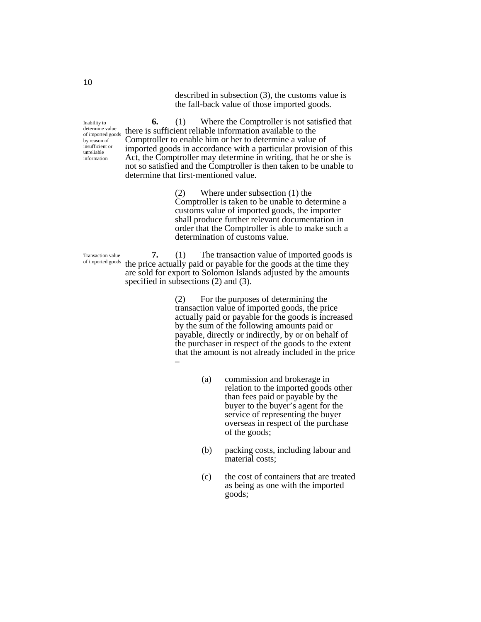described in subsection (3), the customs value is the fall-back value of those imported goods.

Inability to determine value of imported goods by reason of insufficient or unreliable information

**6.** (1) Where the Comptroller is not satisfied that there is sufficient reliable information available to the Comptroller to enable him or her to determine a value of imported goods in accordance with a particular provision of this Act, the Comptroller may determine in writing, that he or she is not so satisfied and the Comptroller is then taken to be unable to determine that first-mentioned value.

> (2) Where under subsection (1) the Comptroller is taken to be unable to determine a customs value of imported goods, the importer shall produce further relevant documentation in order that the Comptroller is able to make such a determination of customs value.

**7.** (1) The transaction value of imported goods is the price actually paid or payable for the goods at the time they are sold for export to Solomon Islands adjusted by the amounts specified in subsections (2) and (3).

> (2) For the purposes of determining the transaction value of imported goods, the price actually paid or payable for the goods is increased by the sum of the following amounts paid or payable, directly or indirectly, by or on behalf of the purchaser in respect of the goods to the extent that the amount is not already included in the price –

- (a) commission and brokerage in relation to the imported goods other than fees paid or payable by the buyer to the buyer's agent for the service of representing the buyer overseas in respect of the purchase of the goods;
- (b) packing costs, including labour and material costs;
- (c) the cost of containers that are treated as being as one with the imported goods;

Transaction value of imported goods

10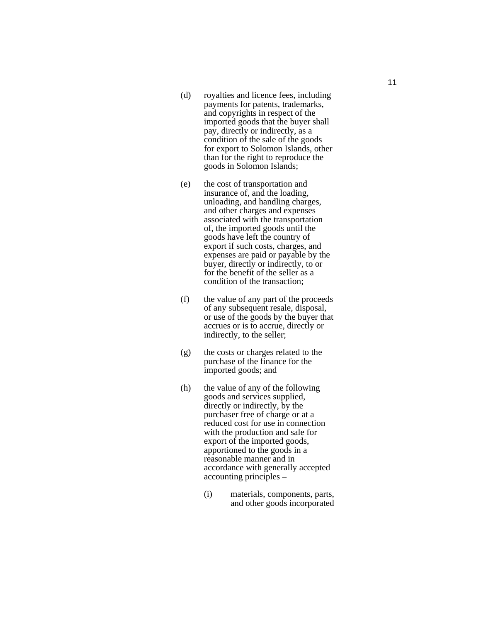- (d) royalties and licence fees, including payments for patents, trademarks, and copyrights in respect of the imported goods that the buyer shall pay, directly or indirectly, as a condition of the sale of the goods for export to Solomon Islands, other than for the right to reproduce the goods in Solomon Islands;
- (e) the cost of transportation and insurance of, and the loading, unloading, and handling charges, and other charges and expenses associated with the transportation of, the imported goods until the goods have left the country of export if such costs, charges, and expenses are paid or payable by the buyer, directly or indirectly, to or for the benefit of the seller as a condition of the transaction;
- (f) the value of any part of the proceeds of any subsequent resale, disposal, or use of the goods by the buyer that accrues or is to accrue, directly or indirectly, to the seller;
- (g) the costs or charges related to the purchase of the finance for the imported goods; and
- (h) the value of any of the following goods and services supplied, directly or indirectly, by the purchaser free of charge or at a reduced cost for use in connection with the production and sale for export of the imported goods, apportioned to the goods in a reasonable manner and in accordance with generally accepted accounting principles –
	- (i) materials, components, parts, and other goods incorporated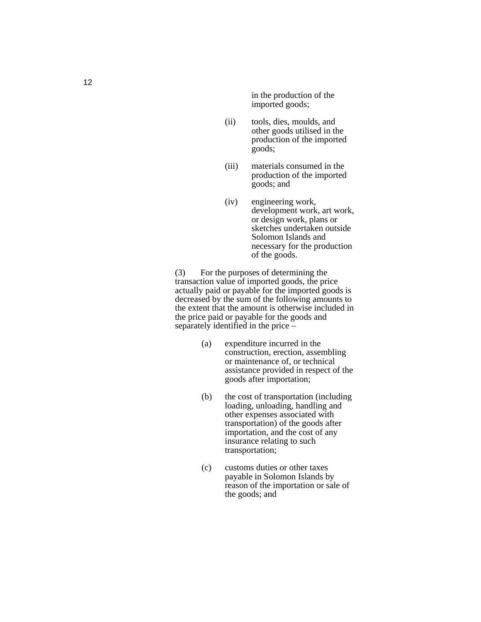in the production of the imported goods;

- (ii) tools, dies, moulds, and other goods utilised in the production of the imported goods;
- (iii) materials consumed in the production of the imported goods; and
- (iv) engineering work, development work, art work, or design work, plans or sketches undertaken outside Solomon Islands and necessary for the production of the goods.

(3) For the purposes of determining the transaction value of imported goods, the price actually paid or payable for the imported goods is decreased by the sum of the following amounts to the extent that the amount is otherwise included in the price paid or payable for the goods and separately identified in the price –

- (a) expenditure incurred in the construction, erection, assembling or maintenance of, or technical assistance provided in respect of the goods after importation;
- (b) the cost of transportation (including loading, unloading, handling and other expenses associated with transportation) of the goods after importation, and the cost of any insurance relating to such transportation;
- (c) customs duties or other taxes payable in Solomon Islands by reason of the importation or sale of the goods; and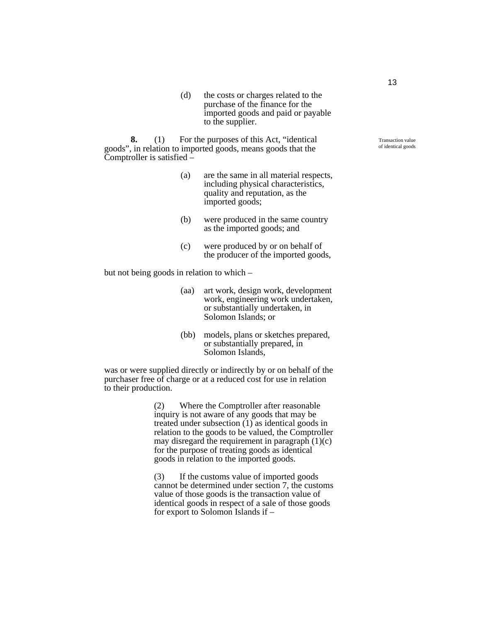(d) the costs or charges related to the purchase of the finance for the imported goods and paid or payable to the supplier.

**8.** (1) For the purposes of this Act, "identical goods", in relation to imported goods, means goods that the Comptroller is satisfied –

- (a) are the same in all material respects, including physical characteristics, quality and reputation, as the imported goods;
- (b) were produced in the same country as the imported goods; and
- (c) were produced by or on behalf of the producer of the imported goods,

but not being goods in relation to which –

- (aa) art work, design work, development work, engineering work undertaken, or substantially undertaken, in Solomon Islands; or
- (bb) models, plans or sketches prepared, or substantially prepared, in Solomon Islands,

was or were supplied directly or indirectly by or on behalf of the purchaser free of charge or at a reduced cost for use in relation to their production.

> (2) Where the Comptroller after reasonable inquiry is not aware of any goods that may be treated under subsection (1) as identical goods in relation to the goods to be valued, the Comptroller may disregard the requirement in paragraph  $(1)(c)$ for the purpose of treating goods as identical goods in relation to the imported goods.

> (3) If the customs value of imported goods cannot be determined under section 7, the customs value of those goods is the transaction value of identical goods in respect of a sale of those goods for export to Solomon Islands if –

Transaction value of identical goods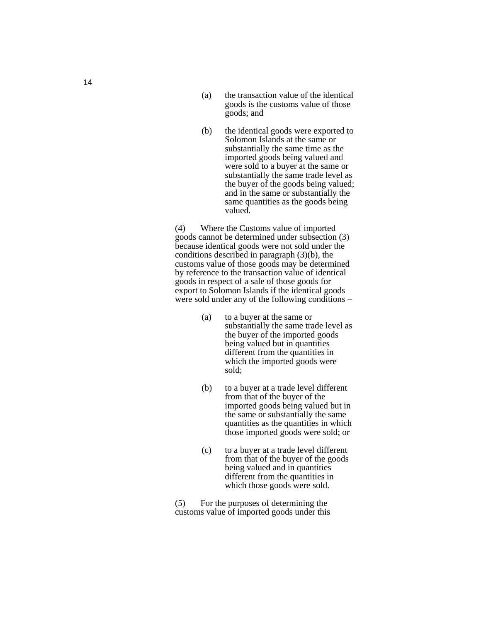- (a) the transaction value of the identical goods is the customs value of those goods; and
- (b) the identical goods were exported to Solomon Islands at the same or substantially the same time as the imported goods being valued and were sold to a buyer at the same or substantially the same trade level as the buyer of the goods being valued; and in the same or substantially the same quantities as the goods being valued.

(4) Where the Customs value of imported goods cannot be determined under subsection (3) because identical goods were not sold under the conditions described in paragraph (3)(b), the customs value of those goods may be determined by reference to the transaction value of identical goods in respect of a sale of those goods for export to Solomon Islands if the identical goods were sold under any of the following conditions –

- (a) to a buyer at the same or substantially the same trade level as the buyer of the imported goods being valued but in quantities different from the quantities in which the imported goods were sold;
- (b) to a buyer at a trade level different from that of the buyer of the imported goods being valued but in the same or substantially the same quantities as the quantities in which those imported goods were sold; or
- (c) to a buyer at a trade level different from that of the buyer of the goods being valued and in quantities different from the quantities in which those goods were sold.

(5) For the purposes of determining the customs value of imported goods under this

14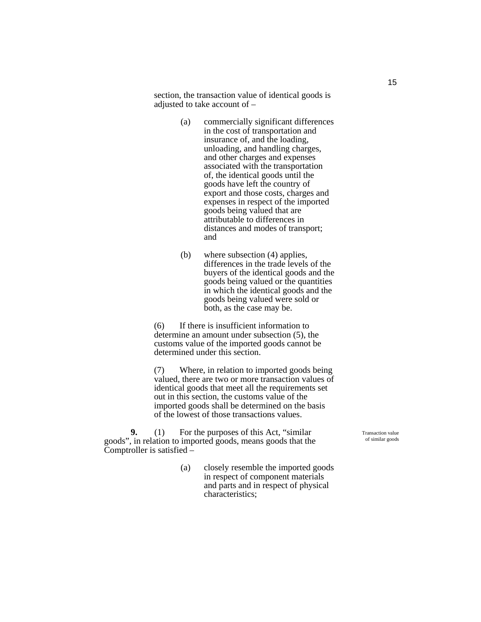section, the transaction value of identical goods is adjusted to take account of –

- (a) commercially significant differences in the cost of transportation and insurance of, and the loading, unloading, and handling charges, and other charges and expenses associated with the transportation of, the identical goods until the goods have left the country of export and those costs, charges and expenses in respect of the imported goods being valued that are attributable to differences in distances and modes of transport; and
- (b) where subsection (4) applies, differences in the trade levels of the buyers of the identical goods and the goods being valued or the quantities in which the identical goods and the goods being valued were sold or both, as the case may be.

(6) If there is insufficient information to determine an amount under subsection (5), the customs value of the imported goods cannot be determined under this section.

(7) Where, in relation to imported goods being valued, there are two or more transaction values of identical goods that meet all the requirements set out in this section, the customs value of the imported goods shall be determined on the basis of the lowest of those transactions values.

**9.** (1) For the purposes of this Act, "similar goods", in relation to imported goods, means goods that the Comptroller is satisfied –

> (a) closely resemble the imported goods in respect of component materials and parts and in respect of physical characteristics;

Transaction value of similar goods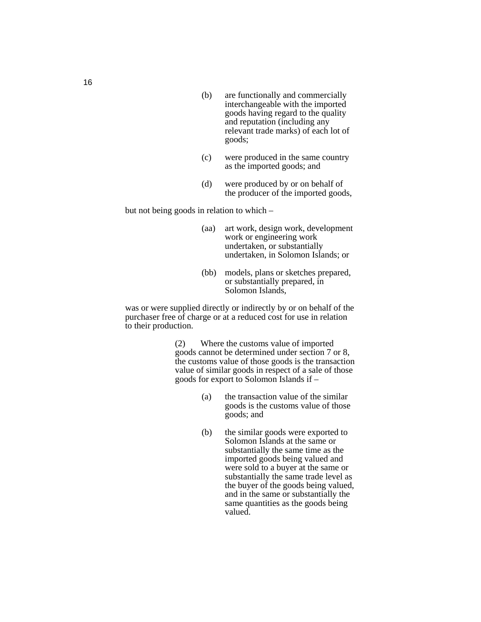- (b) are functionally and commercially interchangeable with the imported goods having regard to the quality and reputation (including any relevant trade marks) of each lot of goods;
- (c) were produced in the same country as the imported goods; and
- (d) were produced by or on behalf of the producer of the imported goods,

but not being goods in relation to which –

- (aa) art work, design work, development work or engineering work undertaken, or substantially undertaken, in Solomon Islands; or
- (bb) models, plans or sketches prepared, or substantially prepared, in Solomon Islands,

was or were supplied directly or indirectly by or on behalf of the purchaser free of charge or at a reduced cost for use in relation to their production.

> (2) Where the customs value of imported goods cannot be determined under section 7 or 8, the customs value of those goods is the transaction value of similar goods in respect of a sale of those goods for export to Solomon Islands if –

- (a) the transaction value of the similar goods is the customs value of those goods; and
- (b) the similar goods were exported to Solomon Islands at the same or substantially the same time as the imported goods being valued and were sold to a buyer at the same or substantially the same trade level as the buyer of the goods being valued, and in the same or substantially the same quantities as the goods being valued.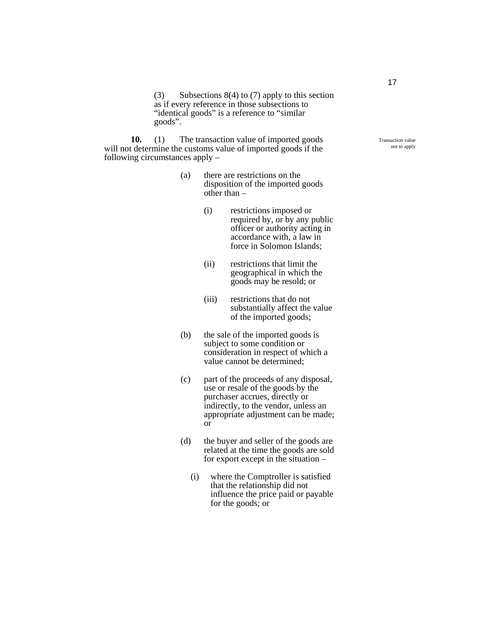(3) Subsections 8(4) to (7) apply to this section as if every reference in those subsections to "identical goods" is a reference to "similar goods".

**10.** (1) The transaction value of imported goods will not determine the customs value of imported goods if the following circumstances apply –

- (a) there are restrictions on the disposition of the imported goods other than  $-$ 
	- (i) restrictions imposed or required by, or by any public officer or authority acting in accordance with, a law in force in Solomon Islands;
	- (ii) restrictions that limit the geographical in which the goods may be resold; or
	- (iii) restrictions that do not substantially affect the value of the imported goods;
- (b) the sale of the imported goods is subject to some condition or consideration in respect of which a value cannot be determined;
- (c) part of the proceeds of any disposal, use or resale of the goods by the purchaser accrues, directly or indirectly, to the vendor, unless an appropriate adjustment can be made; or
- (d) the buyer and seller of the goods are related at the time the goods are sold for export except in the situation –
	- (i) where the Comptroller is satisfied that the relationship did not influence the price paid or payable for the goods; or

Transaction value not to apply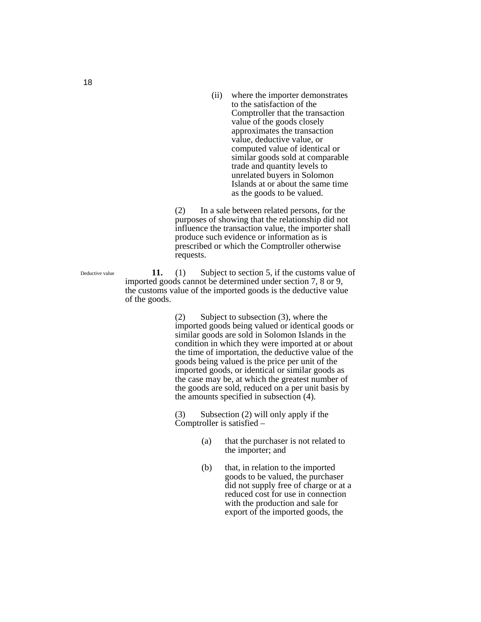(ii) where the importer demonstrates to the satisfaction of the Comptroller that the transaction value of the goods closely approximates the transaction value, deductive value, or computed value of identical or similar goods sold at comparable trade and quantity levels to unrelated buyers in Solomon Islands at or about the same time as the goods to be valued.

(2) In a sale between related persons, for the purposes of showing that the relationship did not influence the transaction value, the importer shall produce such evidence or information as is prescribed or which the Comptroller otherwise requests.

**11.** (1) Subject to section 5, if the customs value of imported goods cannot be determined under section 7, 8 or 9, the customs value of the imported goods is the deductive value of the goods.

> (2) Subject to subsection (3), where the imported goods being valued or identical goods or similar goods are sold in Solomon Islands in the condition in which they were imported at or about the time of importation, the deductive value of the goods being valued is the price per unit of the imported goods, or identical or similar goods as the case may be, at which the greatest number of the goods are sold, reduced on a per unit basis by the amounts specified in subsection (4).

(3) Subsection (2) will only apply if the Comptroller is satisfied –

- (a) that the purchaser is not related to the importer; and
- (b) that, in relation to the imported goods to be valued, the purchaser did not supply free of charge or at a reduced cost for use in connection with the production and sale for export of the imported goods, the

Deductive value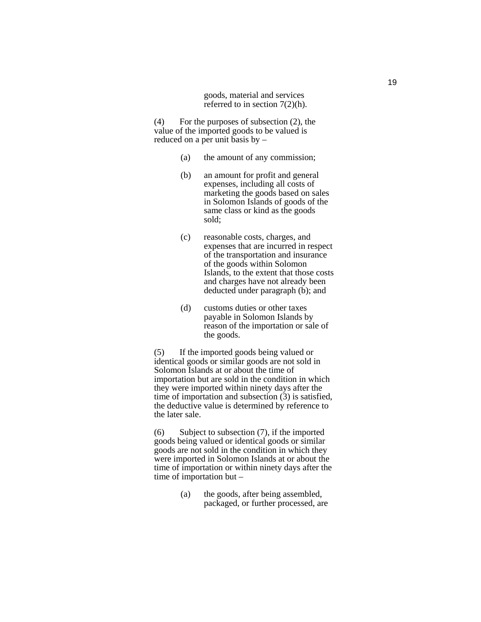goods, material and services referred to in section 7(2)(h).

(4) For the purposes of subsection (2), the value of the imported goods to be valued is reduced on a per unit basis by –

- (a) the amount of any commission;
- (b) an amount for profit and general expenses, including all costs of marketing the goods based on sales in Solomon Islands of goods of the same class or kind as the goods sold;
- (c) reasonable costs, charges, and expenses that are incurred in respect of the transportation and insurance of the goods within Solomon Islands, to the extent that those costs and charges have not already been deducted under paragraph (b); and
- (d) customs duties or other taxes payable in Solomon Islands by reason of the importation or sale of the goods.

(5) If the imported goods being valued or identical goods or similar goods are not sold in Solomon Islands at or about the time of importation but are sold in the condition in which they were imported within ninety days after the time of importation and subsection (3) is satisfied, the deductive value is determined by reference to the later sale.

(6) Subject to subsection (7), if the imported goods being valued or identical goods or similar goods are not sold in the condition in which they were imported in Solomon Islands at or about the time of importation or within ninety days after the time of importation but –

> (a) the goods, after being assembled, packaged, or further processed, are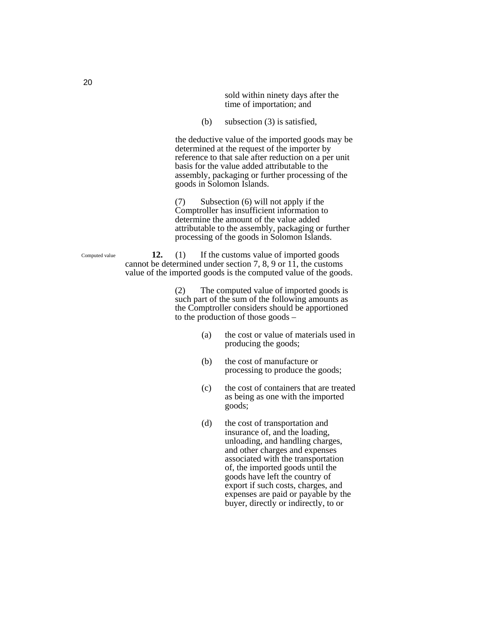sold within ninety days after the time of importation; and

(b) subsection (3) is satisfied,

 the deductive value of the imported goods may be determined at the request of the importer by reference to that sale after reduction on a per unit basis for the value added attributable to the assembly, packaging or further processing of the goods in Solomon Islands.

(7) Subsection (6) will not apply if the Comptroller has insufficient information to determine the amount of the value added attributable to the assembly, packaging or further processing of the goods in Solomon Islands.

**12.** (1) If the customs value of imported goods cannot be determined under section 7, 8, 9 or  $1\hat{1}$ , the customs value of the imported goods is the computed value of the goods.

> (2) The computed value of imported goods is such part of the sum of the following amounts as the Comptroller considers should be apportioned to the production of those goods –

- (a) the cost or value of materials used in producing the goods;
- (b) the cost of manufacture or processing to produce the goods;
- (c) the cost of containers that are treated as being as one with the imported goods;
- (d) the cost of transportation and insurance of, and the loading, unloading, and handling charges, and other charges and expenses associated with the transportation of, the imported goods until the goods have left the country of export if such costs, charges, and expenses are paid or payable by the buyer, directly or indirectly, to or

20

Computed value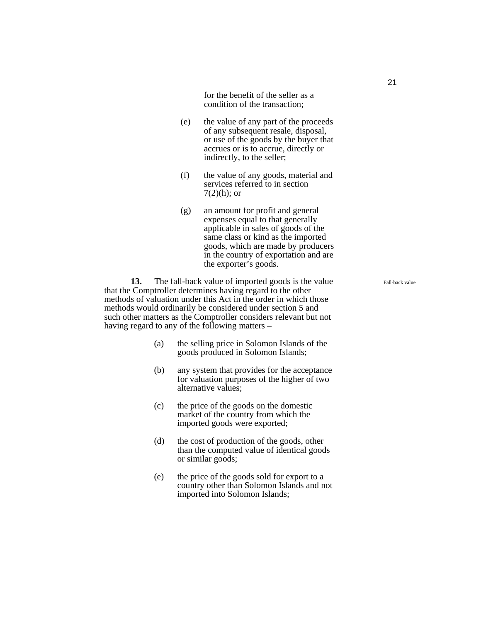for the benefit of the seller as a condition of the transaction;

- (e) the value of any part of the proceeds of any subsequent resale, disposal, or use of the goods by the buyer that accrues or is to accrue, directly or indirectly, to the seller;
- (f) the value of any goods, material and services referred to in section  $7(2)(h)$ ; or
- (g) an amount for profit and general expenses equal to that generally applicable in sales of goods of the same class or kind as the imported goods, which are made by producers in the country of exportation and are the exporter's goods.

**13.** The fall-back value of imported goods is the value that the Comptroller determines having regard to the other methods of valuation under this Act in the order in which those methods would ordinarily be considered under section 5 and such other matters as the Comptroller considers relevant but not having regard to any of the following matters –

- (a) the selling price in Solomon Islands of the goods produced in Solomon Islands;
- (b) any system that provides for the acceptance for valuation purposes of the higher of two alternative values;
- (c) the price of the goods on the domestic market of the country from which the imported goods were exported;
- (d) the cost of production of the goods, other than the computed value of identical goods or similar goods;
- (e) the price of the goods sold for export to a country other than Solomon Islands and not imported into Solomon Islands;

Fall-back value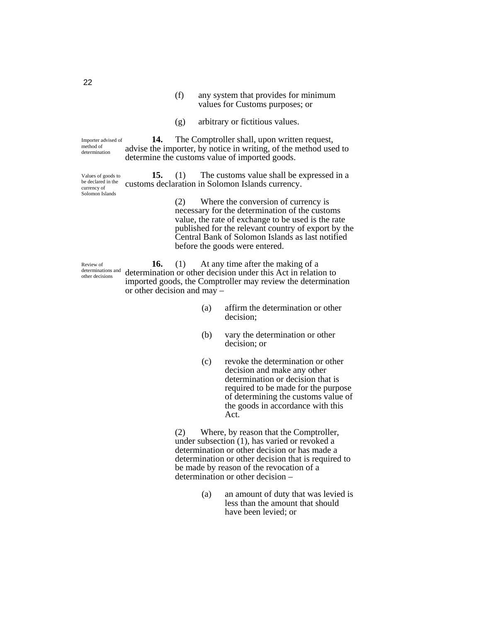- (f) any system that provides for minimum values for Customs purposes; or
- (g) arbitrary or fictitious values.

**14.** The Comptroller shall, upon written request, advise the importer, by notice in writing, of the method used to determine the customs value of imported goods. Importer advised of

**15.** (1) The customs value shall be expressed in a customs declaration in Solomon Islands currency. Values of goods to be declared in the currency of Solomon Islands

> (2) Where the conversion of currency is necessary for the determination of the customs value, the rate of exchange to be used is the rate published for the relevant country of export by the Central Bank of Solomon Islands as last notified before the goods were entered.

Review of determinations and other decisions

**16.** (1) At any time after the making of a determination or other decision under this Act in relation to imported goods, the Comptroller may review the determination or other decision and may –

- (a) affirm the determination or other decision;
- (b) vary the determination or other decision; or
- (c) revoke the determination or other decision and make any other determination or decision that is required to be made for the purpose of determining the customs value of the goods in accordance with this Act.

(2) Where, by reason that the Comptroller, under subsection (1), has varied or revoked a determination or other decision or has made a determination or other decision that is required to be made by reason of the revocation of a determination or other decision –

> (a) an amount of duty that was levied is less than the amount that should have been levied; or

22

method of determination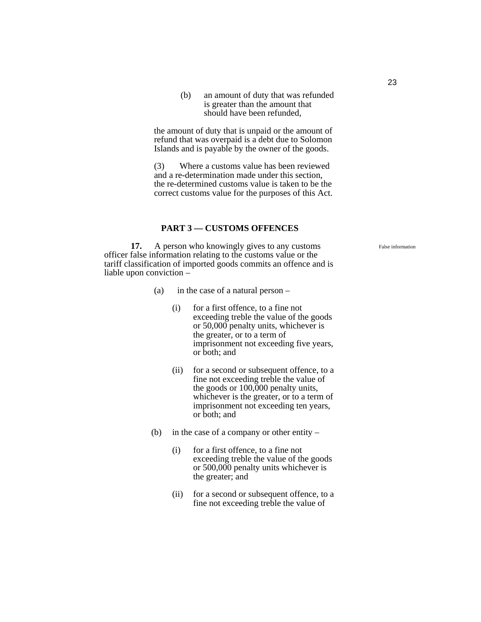(b) an amount of duty that was refunded is greater than the amount that should have been refunded,

the amount of duty that is unpaid or the amount of refund that was overpaid is a debt due to Solomon Islands and is payable by the owner of the goods.

(3) Where a customs value has been reviewed and a re-determination made under this section, the re-determined customs value is taken to be the correct customs value for the purposes of this Act.

#### **PART 3 — CUSTOMS OFFENCES**

**17.** A person who knowingly gives to any customs officer false information relating to the customs value or the tariff classification of imported goods commits an offence and is liable upon conviction –

- (a) in the case of a natural person
	- (i) for a first offence, to a fine not exceeding treble the value of the goods or 50,000 penalty units, whichever is the greater, or to a term of imprisonment not exceeding five years, or both; and
	- (ii) for a second or subsequent offence, to a fine not exceeding treble the value of the goods or 100,000 penalty units, whichever is the greater, or to a term of imprisonment not exceeding ten years, or both; and
- (b) in the case of a company or other entity
	- (i) for a first offence, to a fine not exceeding treble the value of the goods or 500,000 penalty units whichever is the greater; and
	- (ii) for a second or subsequent offence, to a fine not exceeding treble the value of

False information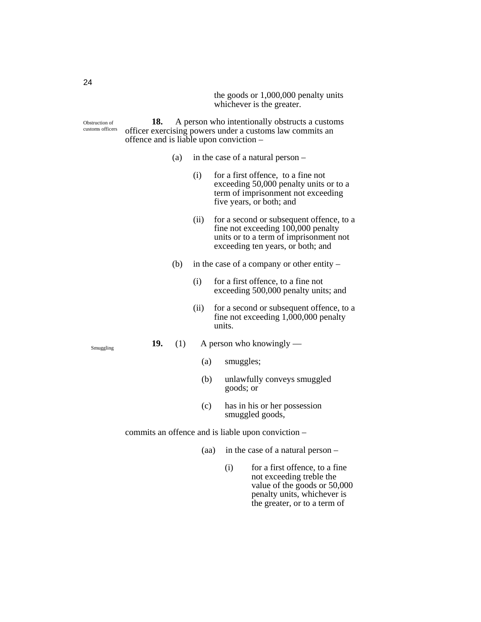the goods or 1,000,000 penalty units whichever is the greater.

**18.** A person who intentionally obstructs a customs officer exercising powers under a customs law commits an offence and is liable upon conviction – Obstruction of customs officers

- (a) in the case of a natural person
	- (i) for a first offence, to a fine not exceeding 50,000 penalty units or to a term of imprisonment not exceeding five years, or both; and
	- (ii) for a second or subsequent offence, to a fine not exceeding  $100,000$  penalty units or to a term of imprisonment not exceeding ten years, or both; and
- (b) in the case of a company or other entity
	- (i) for a first offence, to a fine not exceeding 500,000 penalty units; and
	- (ii) for a second or subsequent offence, to a fine not exceeding 1,000,000 penalty units.
- **19.** (1) A person who knowingly
	- (a) smuggles;
	- (b) unlawfully conveys smuggled goods; or
	- (c) has in his or her possession smuggled goods,

commits an offence and is liable upon conviction –

- (aa) in the case of a natural person
	- (i) for a first offence, to a fine not exceeding treble the value of the goods or 50,000 penalty units, whichever is the greater, or to a term of

Smuggling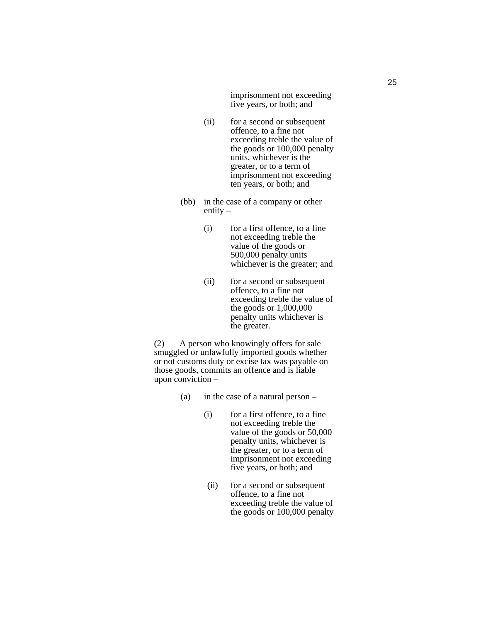imprisonment not exceeding five years, or both; and

- (ii) for a second or subsequent offence, to a fine not exceeding treble the value of the goods or 100,000 penalty units, whichever is the greater, or to a term of imprisonment not exceeding ten years, or both; and
- (bb) in the case of a company or other entity  $-$ 
	- (i) for a first offence, to a fine not exceeding treble the value of the goods or 500,000 penalty units whichever is the greater; and
	- (ii) for a second or subsequent offence, to a fine not exceeding treble the value of the goods or 1,000,000 penalty units whichever is the greater.

(2) A person who knowingly offers for sale smuggled or unlawfully imported goods whether or not customs duty or excise tax was payable on those goods, commits an offence and is liable upon conviction –

- (a) in the case of a natural person
	- (i) for a first offence, to a fine not exceeding treble the value of the goods or 50,000 penalty units, whichever is the greater, or to a term of imprisonment not exceeding five years, or both; and
	- (ii) for a second or subsequent offence, to a fine not exceeding treble the value of the goods or 100,000 penalty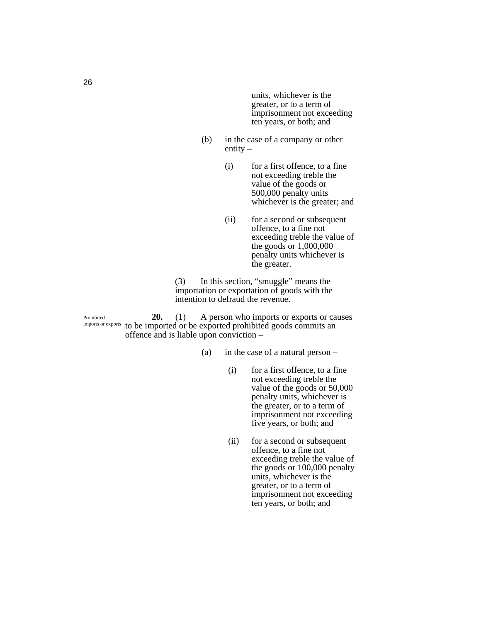units, whichever is the greater, or to a term of imprisonment not exceeding ten years, or both; and

- (b) in the case of a company or other entity  $-$ 
	- (i) for a first offence, to a fine not exceeding treble the value of the goods or 500,000 penalty units whichever is the greater; and
	- (ii) for a second or subsequent offence, to a fine not exceeding treble the value of the goods or 1,000,000 penalty units whichever is the greater.

(3) In this section, "smuggle" means the importation or exportation of goods with the intention to defraud the revenue.

**20.** (1) A person who imports or exports or causes imports or exports to be imported or be exported prohibited goods commits an offence and is liable upon conviction – Prohibited

- (a) in the case of a natural person
	- (i) for a first offence, to a fine not exceeding treble the value of the goods or 50,000 penalty units, whichever is the greater, or to a term of imprisonment not exceeding five years, or both; and
	- (ii) for a second or subsequent offence, to a fine not exceeding treble the value of the goods or 100,000 penalty units, whichever is the greater, or to a term of imprisonment not exceeding ten years, or both; and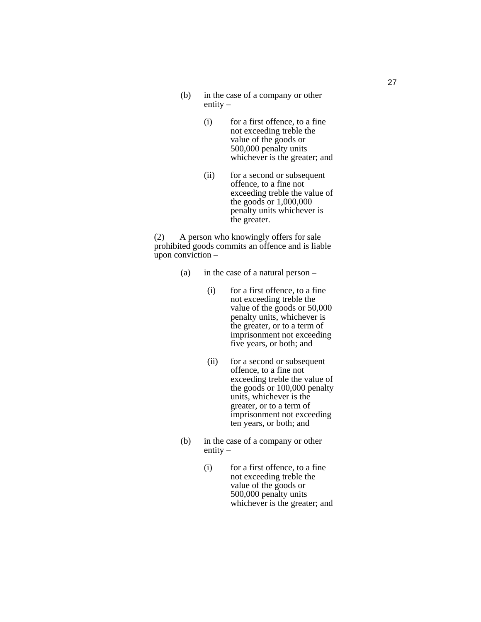- (b) in the case of a company or other entity –
	- (i) for a first offence, to a fine not exceeding treble the value of the goods or 500,000 penalty units whichever is the greater; and
	- (ii) for a second or subsequent offence, to a fine not exceeding treble the value of the goods or 1,000,000 penalty units whichever is the greater.

(2) A person who knowingly offers for sale prohibited goods commits an offence and is liable upon conviction –

- (a) in the case of a natural person
	- (i) for a first offence, to a fine not exceeding treble the value of the goods or 50,000 penalty units, whichever is the greater, or to a term of imprisonment not exceeding five years, or both; and
	- (ii) for a second or subsequent offence, to a fine not exceeding treble the value of the goods or 100,000 penalty units, whichever is the greater, or to a term of imprisonment not exceeding ten years, or both; and
- (b) in the case of a company or other entity –
	- (i) for a first offence, to a fine not exceeding treble the value of the goods or 500,000 penalty units whichever is the greater; and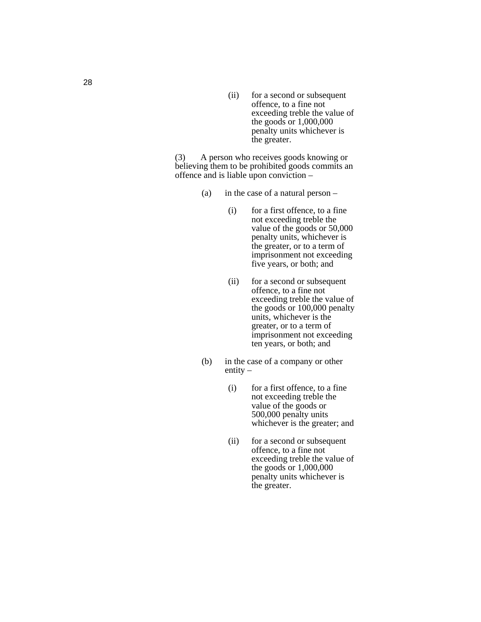(ii) for a second or subsequent offence, to a fine not exceeding treble the value of the goods or 1,000,000 penalty units whichever is the greater.

(3) A person who receives goods knowing or believing them to be prohibited goods commits an offence and is liable upon conviction –

- (a) in the case of a natural person
	- (i) for a first offence, to a fine not exceeding treble the value of the goods or 50,000 penalty units, whichever is the greater, or to a term of imprisonment not exceeding five years, or both; and
	- (ii) for a second or subsequent offence, to a fine not exceeding treble the value of the goods or 100,000 penalty units, whichever is the greater, or to a term of imprisonment not exceeding ten years, or both; and
- (b) in the case of a company or other entity –
	- (i) for a first offence, to a fine not exceeding treble the value of the goods or 500,000 penalty units whichever is the greater; and
	- (ii) for a second or subsequent offence, to a fine not exceeding treble the value of the goods or 1,000,000 penalty units whichever is the greater.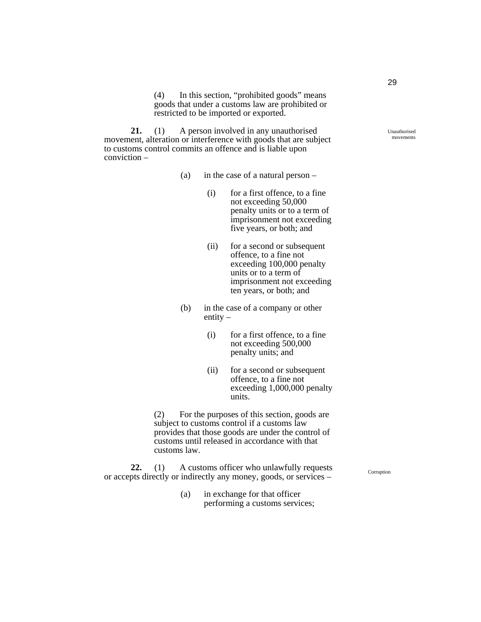(4) In this section, "prohibited goods" means goods that under a customs law are prohibited or restricted to be imported or exported.

**21.** (1) A person involved in any unauthorised movement, alteration or interference with goods that are subject to customs control commits an offence and is liable upon conviction –

- (a) in the case of a natural person
	- (i) for a first offence, to a fine not exceeding 50,000 penalty units or to a term of imprisonment not exceeding five years, or both; and
	- (ii) for a second or subsequent offence, to a fine not exceeding 100,000 penalty units or to a term of imprisonment not exceeding ten years, or both; and
- (b) in the case of a company or other entity  $-$ 
	- (i) for a first offence, to a fine not exceeding 500,000 penalty units; and
	- (ii) for a second or subsequent offence, to a fine not exceeding 1,000,000 penalty units.

(2) For the purposes of this section, goods are subject to customs control if a customs law provides that those goods are under the control of customs until released in accordance with that customs law.

**22.** (1) A customs officer who unlawfully requests or accepts directly or indirectly any money, goods, or services –

> (a) in exchange for that officer performing a customs services;

Unauthorised movements

Corruption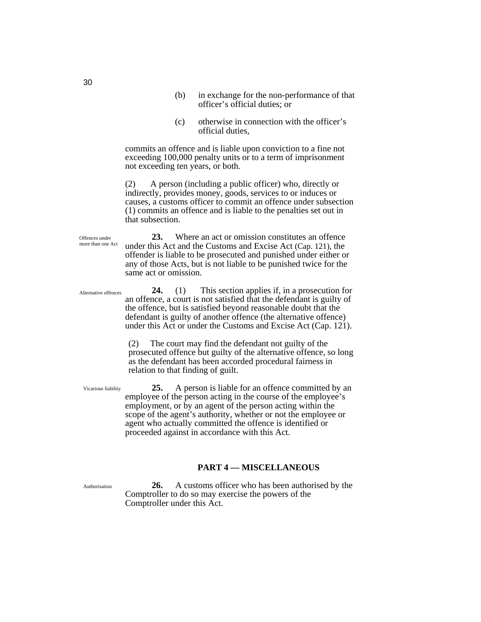- (b) in exchange for the non-performance of that officer's official duties; or
- (c) otherwise in connection with the officer's official duties,

commits an offence and is liable upon conviction to a fine not exceeding 100,000 penalty units or to a term of imprisonment not exceeding ten years, or both.

(2) A person (including a public officer) who, directly or indirectly, provides money, goods, services to or induces or causes, a customs officer to commit an offence under subsection (1) commits an offence and is liable to the penalties set out in that subsection.

**23.** Where an act or omission constitutes an offence under this Act and the Customs and Excise Act (Cap. 121), the offender is liable to be prosecuted and punished under either or any of those Acts, but is not liable to be punished twice for the same act or omission.

**24.** (1) This section applies if, in a prosecution for an offence, a court is not satisfied that the defendant is guilty of the offence, but is satisfied beyond reasonable doubt that the defendant is guilty of another offence (the alternative offence) under this Act or under the Customs and Excise Act (Cap. 121). Alternative offences

> (2) The court may find the defendant not guilty of the prosecuted offence but guilty of the alternative offence, so long as the defendant has been accorded procedural fairness in relation to that finding of guilt.

**25.** A person is liable for an offence committed by an employee of the person acting in the course of the employee's employment, or by an agent of the person acting within the scope of the agent's authority, whether or not the employee or agent who actually committed the offence is identified or proceeded against in accordance with this Act.

#### **PART 4 — MISCELLANEOUS**

Authorisation

**26.** A customs officer who has been authorised by the Comptroller to do so may exercise the powers of the Comptroller under this Act.

30

Offences under more than one Act

Vicarious liability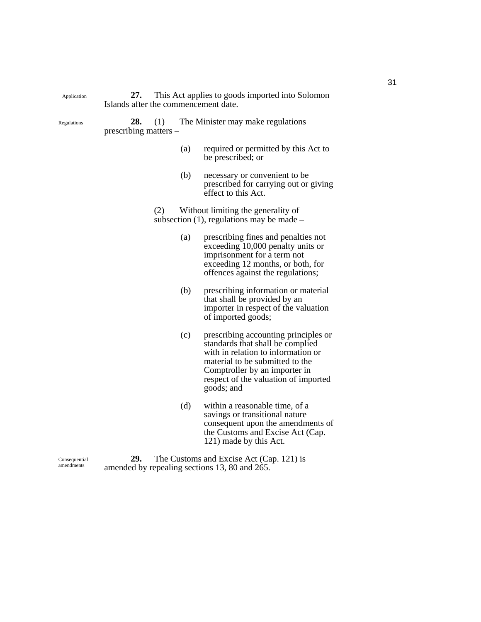**27.** This Act applies to goods imported into Solomon Islands after the commencement date.

Regulations

Application

**28.** (1) The Minister may make regulations prescribing matters –

- (a) required or permitted by this Act to be prescribed; or
- (b) necessary or convenient to be prescribed for carrying out or giving effect to this Act.

(2) Without limiting the generality of subsection  $(1)$ , regulations may be made –

- (a) prescribing fines and penalties not exceeding 10,000 penalty units or imprisonment for a term not exceeding 12 months, or both, for offences against the regulations;
- (b) prescribing information or material that shall be provided by an importer in respect of the valuation of imported goods;
- (c) prescribing accounting principles or standards that shall be complied with in relation to information or material to be submitted to the Comptroller by an importer in respect of the valuation of imported goods; and
- (d) within a reasonable time, of a savings or transitional nature consequent upon the amendments of the Customs and Excise Act (Cap. 121) made by this Act.

Consequential amendments

**29.** The Customs and Excise Act (Cap. 121) is amended by repealing sections 13, 80 and 265.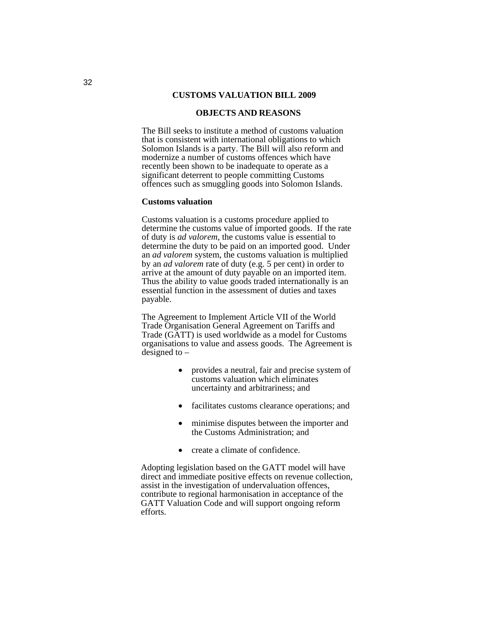#### **CUSTOMS VALUATION BILL 2009**

#### **OBJECTS AND REASONS**

The Bill seeks to institute a method of customs valuation that is consistent with international obligations to which Solomon Islands is a party. The Bill will also reform and modernize a number of customs offences which have recently been shown to be inadequate to operate as a significant deterrent to people committing Customs offences such as smuggling goods into Solomon Islands.

#### **Customs valuation**

Customs valuation is a customs procedure applied to determine the customs value of imported goods. If the rate of duty is *ad valorem*, the customs value is essential to determine the duty to be paid on an imported good. Under an *ad valorem* system, the customs valuation is multiplied by an *ad valorem* rate of duty (e.g. 5 per cent) in order to arrive at the amount of duty payable on an imported item. Thus the ability to value goods traded internationally is an essential function in the assessment of duties and taxes payable.

The Agreement to Implement Article VII of the World Trade Organisation General Agreement on Tariffs and Trade (GATT) is used worldwide as a model for Customs organisations to value and assess goods. The Agreement is designed to –

- provides a neutral, fair and precise system of customs valuation which eliminates uncertainty and arbitrariness; and
- facilitates customs clearance operations; and
- minimise disputes between the importer and the Customs Administration; and
- create a climate of confidence.

Adopting legislation based on the GATT model will have direct and immediate positive effects on revenue collection, assist in the investigation of undervaluation offences, contribute to regional harmonisation in acceptance of the GATT Valuation Code and will support ongoing reform efforts.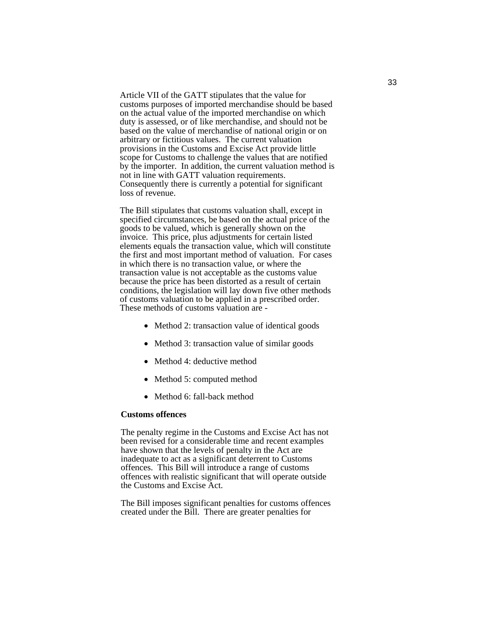Article VII of the GATT stipulates that the value for customs purposes of imported merchandise should be based on the actual value of the imported merchandise on which duty is assessed, or of like merchandise, and should not be based on the value of merchandise of national origin or on arbitrary or fictitious values. The current valuation provisions in the Customs and Excise Act provide little scope for Customs to challenge the values that are notified by the importer. In addition, the current valuation method is not in line with GATT valuation requirements. Consequently there is currently a potential for significant loss of revenue.

The Bill stipulates that customs valuation shall, except in specified circumstances, be based on the actual price of the goods to be valued, which is generally shown on the invoice. This price, plus adjustments for certain listed elements equals the transaction value, which will constitute the first and most important method of valuation. For cases in which there is no transaction value, or where the transaction value is not acceptable as the customs value because the price has been distorted as a result of certain conditions, the legislation will lay down five other methods of customs valuation to be applied in a prescribed order. These methods of customs valuation are -

- Method 2: transaction value of identical goods
- Method 3: transaction value of similar goods
- Method 4: deductive method
- Method 5: computed method
- Method 6: fall-back method

#### **Customs offences**

The penalty regime in the Customs and Excise Act has not been revised for a considerable time and recent examples have shown that the levels of penalty in the Act are inadequate to act as a significant deterrent to Customs offences. This Bill will introduce a range of customs offences with realistic significant that will operate outside the Customs and Excise Act.

The Bill imposes significant penalties for customs offences created under the Bill. There are greater penalties for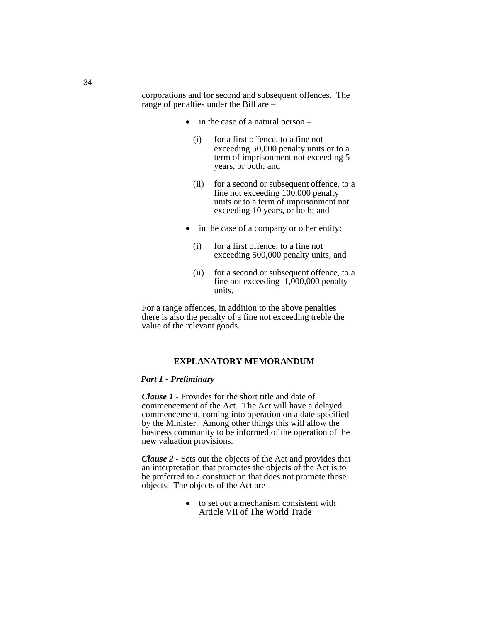corporations and for second and subsequent offences. The range of penalties under the Bill are –

- in the case of a natural person
	- (i) for a first offence, to a fine not exceeding 50,000 penalty units or to a term of imprisonment not exceeding 5 years, or both; and
	- (ii) for a second or subsequent offence, to a fine not exceeding  $100,000$  penalty units or to a term of imprisonment not exceeding 10 years, or both; and
- in the case of a company or other entity:
	- (i) for a first offence, to a fine not exceeding 500,000 penalty units; and
	- (ii) for a second or subsequent offence, to a fine not exceeding  $1,000,000$  penalty units.

For a range offences, in addition to the above penalties there is also the penalty of a fine not exceeding treble the value of the relevant goods.

#### **EXPLANATORY MEMORANDUM**

#### *Part 1 - Preliminary*

*Clause 1* - Provides for the short title and date of commencement of the Act. The Act will have a delayed commencement, coming into operation on a date specified by the Minister. Among other things this will allow the business community to be informed of the operation of the new valuation provisions.

*Clause 2 -* Sets out the objects of the Act and provides that an interpretation that promotes the objects of the Act is to be preferred to a construction that does not promote those objects. The objects of the Act are –

> • to set out a mechanism consistent with Article VII of The World Trade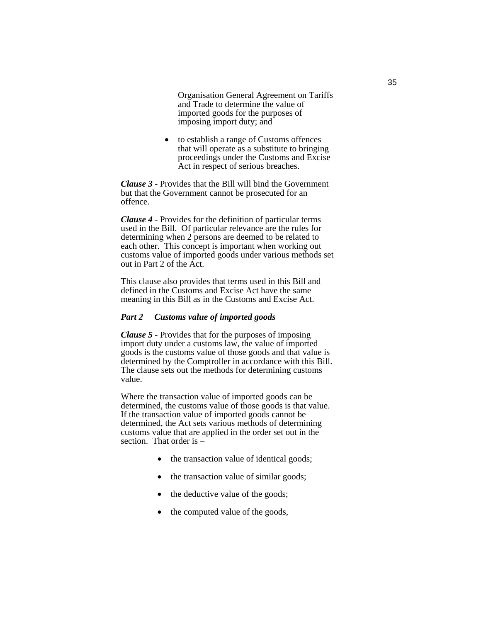Organisation General Agreement on Tariffs and Trade to determine the value of imported goods for the purposes of imposing import duty; and

• to establish a range of Customs offences that will operate as a substitute to bringing proceedings under the Customs and Excise Act in respect of serious breaches.

*Clause 3* - Provides that the Bill will bind the Government but that the Government cannot be prosecuted for an offence.

*Clause 4* - Provides for the definition of particular terms used in the Bill. Of particular relevance are the rules for determining when 2 persons are deemed to be related to each other. This concept is important when working out customs value of imported goods under various methods set out in Part 2 of the Act.

This clause also provides that terms used in this Bill and defined in the Customs and Excise Act have the same meaning in this Bill as in the Customs and Excise Act.

#### *Part 2 Customs value of imported goods*

*Clause 5* - Provides that for the purposes of imposing import duty under a customs law, the value of imported goods is the customs value of those goods and that value is determined by the Comptroller in accordance with this Bill. The clause sets out the methods for determining customs value.

Where the transaction value of imported goods can be determined, the customs value of those goods is that value. If the transaction value of imported goods cannot be determined, the Act sets various methods of determining customs value that are applied in the order set out in the section. That order is –

- the transaction value of identical goods;
- the transaction value of similar goods;
- the deductive value of the goods;
- the computed value of the goods,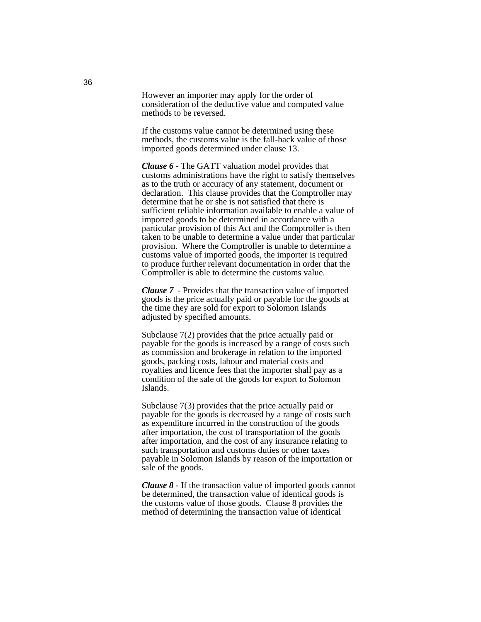However an importer may apply for the order of consideration of the deductive value and computed value methods to be reversed.

If the customs value cannot be determined using these methods, the customs value is the fall-back value of those imported goods determined under clause 13.

*Clause 6* - The GATT valuation model provides that customs administrations have the right to satisfy themselves as to the truth or accuracy of any statement, document or declaration. This clause provides that the Comptroller may determine that he or she is not satisfied that there is sufficient reliable information available to enable a value of imported goods to be determined in accordance with a particular provision of this Act and the Comptroller is then taken to be unable to determine a value under that particular provision. Where the Comptroller is unable to determine a customs value of imported goods, the importer is required to produce further relevant documentation in order that the Comptroller is able to determine the customs value.

*Clause 7* - Provides that the transaction value of imported goods is the price actually paid or payable for the goods at the time they are sold for export to Solomon Islands adjusted by specified amounts.

Subclause 7(2) provides that the price actually paid or payable for the goods is increased by a range of costs such as commission and brokerage in relation to the imported goods, packing costs, labour and material costs and royalties and licence fees that the importer shall pay as a condition of the sale of the goods for export to Solomon Islands.

Subclause 7(3) provides that the price actually paid or payable for the goods is decreased by a range of costs such as expenditure incurred in the construction of the goods after importation, the cost of transportation of the goods after importation, and the cost of any insurance relating to such transportation and customs duties or other taxes payable in Solomon Islands by reason of the importation or sale of the goods.

*Clause 8 -* If the transaction value of imported goods cannot be determined, the transaction value of identical goods is the customs value of those goods. Clause 8 provides the method of determining the transaction value of identical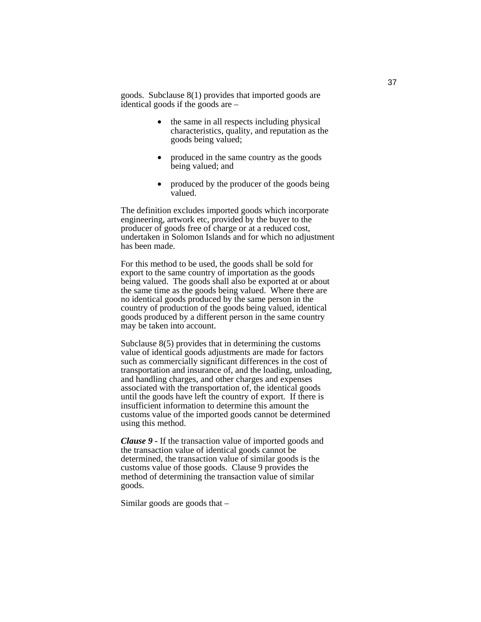goods. Subclause 8(1) provides that imported goods are identical goods if the goods are –

- the same in all respects including physical characteristics, quality, and reputation as the goods being valued;
- produced in the same country as the goods being valued; and
- produced by the producer of the goods being valued.

The definition excludes imported goods which incorporate engineering, artwork etc, provided by the buyer to the producer of goods free of charge or at a reduced cost, undertaken in Solomon Islands and for which no adjustment has been made.

For this method to be used, the goods shall be sold for export to the same country of importation as the goods being valued. The goods shall also be exported at or about the same time as the goods being valued. Where there are no identical goods produced by the same person in the country of production of the goods being valued, identical goods produced by a different person in the same country may be taken into account.

Subclause 8(5) provides that in determining the customs value of identical goods adjustments are made for factors such as commercially significant differences in the cost of transportation and insurance of, and the loading, unloading, and handling charges, and other charges and expenses associated with the transportation of, the identical goods until the goods have left the country of export. If there is insufficient information to determine this amount the customs value of the imported goods cannot be determined using this method.

*Clause 9 -* If the transaction value of imported goods and the transaction value of identical goods cannot be determined, the transaction value of similar goods is the customs value of those goods. Clause 9 provides the method of determining the transaction value of similar goods.

Similar goods are goods that –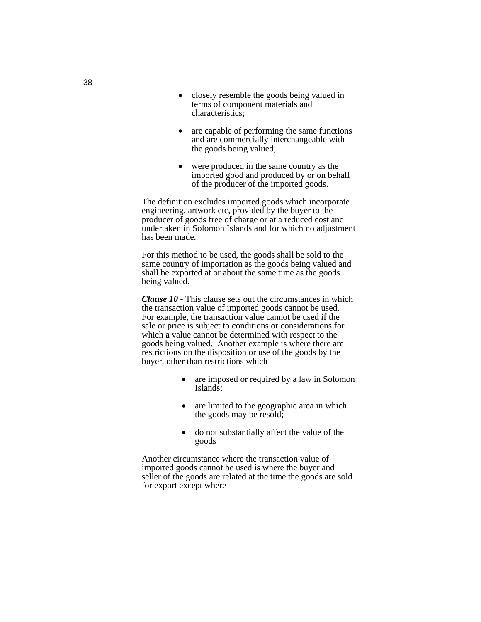- closely resemble the goods being valued in terms of component materials and characteristics;
- are capable of performing the same functions and are commercially interchangeable with the goods being valued;
- were produced in the same country as the imported good and produced by or on behalf of the producer of the imported goods.

The definition excludes imported goods which incorporate engineering, artwork etc, provided by the buyer to the producer of goods free of charge or at a reduced cost and undertaken in Solomon Islands and for which no adjustment has been made.

For this method to be used, the goods shall be sold to the same country of importation as the goods being valued and shall be exported at or about the same time as the goods being valued.

*Clause 10 -* This clause sets out the circumstances in which the transaction value of imported goods cannot be used. For example, the transaction value cannot be used if the sale or price is subject to conditions or considerations for which a value cannot be determined with respect to the goods being valued. Another example is where there are restrictions on the disposition or use of the goods by the buyer, other than restrictions which –

- are imposed or required by a law in Solomon Islands;
- are limited to the geographic area in which the goods may be resold;
- do not substantially affect the value of the goods

Another circumstance where the transaction value of imported goods cannot be used is where the buyer and seller of the goods are related at the time the goods are sold for export except where –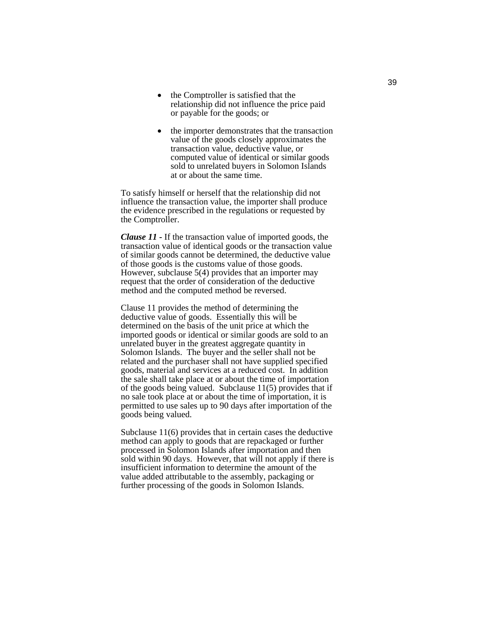- the Comptroller is satisfied that the relationship did not influence the price paid or payable for the goods; or
- the importer demonstrates that the transaction value of the goods closely approximates the transaction value, deductive value, or computed value of identical or similar goods sold to unrelated buyers in Solomon Islands at or about the same time.

To satisfy himself or herself that the relationship did not influence the transaction value, the importer shall produce the evidence prescribed in the regulations or requested by the Comptroller.

*Clause 11 -* If the transaction value of imported goods, the transaction value of identical goods or the transaction value of similar goods cannot be determined, the deductive value of those goods is the customs value of those goods. However, subclause 5(4) provides that an importer may request that the order of consideration of the deductive method and the computed method be reversed.

Clause 11 provides the method of determining the deductive value of goods. Essentially this will be determined on the basis of the unit price at which the imported goods or identical or similar goods are sold to an unrelated buyer in the greatest aggregate quantity in Solomon Islands. The buyer and the seller shall not be related and the purchaser shall not have supplied specified goods, material and services at a reduced cost. In addition the sale shall take place at or about the time of importation of the goods being valued. Subclause 11(5) provides that if no sale took place at or about the time of importation, it is permitted to use sales up to 90 days after importation of the goods being valued.

Subclause 11(6) provides that in certain cases the deductive method can apply to goods that are repackaged or further processed in Solomon Islands after importation and then sold within 90 days. However, that will not apply if there is insufficient information to determine the amount of the value added attributable to the assembly, packaging or further processing of the goods in Solomon Islands.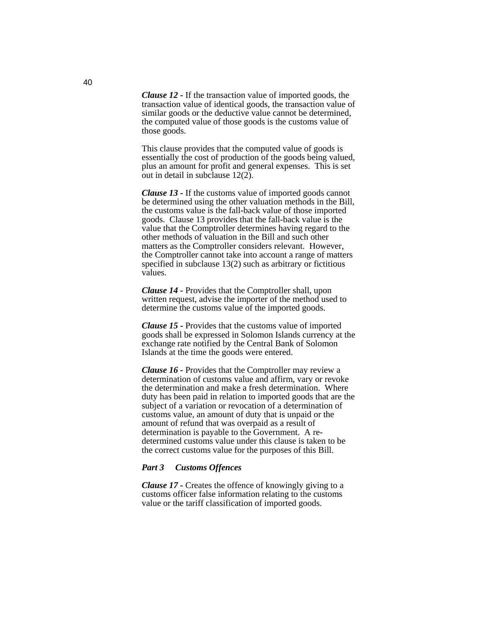*Clause 12 -* If the transaction value of imported goods, the transaction value of identical goods, the transaction value of similar goods or the deductive value cannot be determined, the computed value of those goods is the customs value of those goods.

This clause provides that the computed value of goods is essentially the cost of production of the goods being valued, plus an amount for profit and general expenses. This is set out in detail in subclause 12(2).

*Clause 13 -* If the customs value of imported goods cannot be determined using the other valuation methods in the Bill, the customs value is the fall-back value of those imported goods. Clause 13 provides that the fall-back value is the value that the Comptroller determines having regard to the other methods of valuation in the Bill and such other matters as the Comptroller considers relevant. However, the Comptroller cannot take into account a range of matters specified in subclause 13(2) such as arbitrary or fictitious values.

*Clause 14 -* Provides that the Comptroller shall, upon written request, advise the importer of the method used to determine the customs value of the imported goods.

*Clause 15 -* Provides that the customs value of imported goods shall be expressed in Solomon Islands currency at the exchange rate notified by the Central Bank of Solomon Islands at the time the goods were entered.

*Clause 16 -* Provides that the Comptroller may review a determination of customs value and affirm, vary or revoke the determination and make a fresh determination. Where duty has been paid in relation to imported goods that are the subject of a variation or revocation of a determination of customs value, an amount of duty that is unpaid or the amount of refund that was overpaid as a result of determination is payable to the Government. A redetermined customs value under this clause is taken to be the correct customs value for the purposes of this Bill.

#### *Part 3 Customs Offences*

*Clause 17 -* Creates the offence of knowingly giving to a customs officer false information relating to the customs value or the tariff classification of imported goods.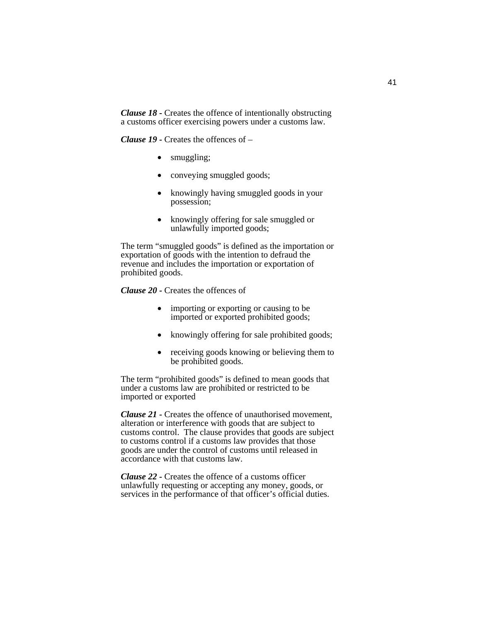*Clause 18 -* Creates the offence of intentionally obstructing a customs officer exercising powers under a customs law.

*Clause 19 -* Creates the offences of –

- smuggling;
- conveying smuggled goods;
- knowingly having smuggled goods in your possession;
- knowingly offering for sale smuggled or unlawfully imported goods;

The term "smuggled goods" is defined as the importation or exportation of goods with the intention to defraud the revenue and includes the importation or exportation of prohibited goods.

*Clause 20 -* Creates the offences of

- importing or exporting or causing to be imported or exported prohibited goods;
- knowingly offering for sale prohibited goods;
- receiving goods knowing or believing them to be prohibited goods.

The term "prohibited goods" is defined to mean goods that under a customs law are prohibited or restricted to be imported or exported

*Clause 21 -* Creates the offence of unauthorised movement, alteration or interference with goods that are subject to customs control. The clause provides that goods are subject to customs control if a customs law provides that those goods are under the control of customs until released in accordance with that customs law.

*Clause 22 -* Creates the offence of a customs officer unlawfully requesting or accepting any money, goods, or services in the performance of that officer's official duties.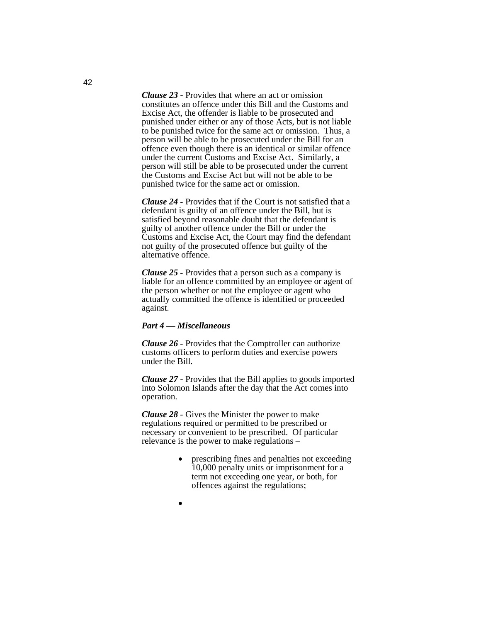*Clause 23 -* Provides that where an act or omission constitutes an offence under this Bill and the Customs and Excise Act, the offender is liable to be prosecuted and punished under either or any of those Acts, but is not liable to be punished twice for the same act or omission. Thus, a person will be able to be prosecuted under the Bill for an offence even though there is an identical or similar offence under the current Customs and Excise Act. Similarly, a person will still be able to be prosecuted under the current the Customs and Excise Act but will not be able to be punished twice for the same act or omission.

*Clause 24 -* Provides that if the Court is not satisfied that a defendant is guilty of an offence under the Bill, but is satisfied beyond reasonable doubt that the defendant is guilty of another offence under the Bill or under the Customs and Excise Act, the Court may find the defendant not guilty of the prosecuted offence but guilty of the alternative offence.

*Clause 25 -* Provides that a person such as a company is liable for an offence committed by an employee or agent of the person whether or not the employee or agent who actually committed the offence is identified or proceeded against.

#### *Part 4 — Miscellaneous*

*Clause 26 -* Provides that the Comptroller can authorize customs officers to perform duties and exercise powers under the Bill.

*Clause 27 -* Provides that the Bill applies to goods imported into Solomon Islands after the day that the Act comes into operation.

*Clause 28 -* Gives the Minister the power to make regulations required or permitted to be prescribed or necessary or convenient to be prescribed. Of particular relevance is the power to make regulations –

- prescribing fines and penalties not exceeding 10,000 penalty units or imprisonment for a term not exceeding one year, or both, for offences against the regulations;
- 

•